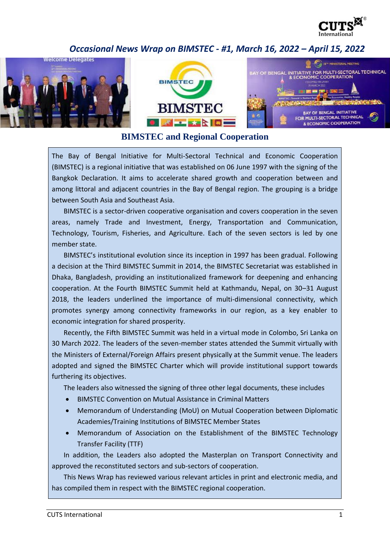

## *Occasional News Wrap on BIMSTEC - #1, March 16, 2022 – April 15, 2022*





## **BIMSTEC and Regional Cooperation**

The Bay of Bengal Initiative for Multi-Sectoral Technical and Economic Cooperation (BIMSTEC) is a regional initiative that was established on 06 June 1997 with the signing of the Bangkok Declaration. It aims to accelerate shared growth and cooperation between and among littoral and adjacent countries in the Bay of Bengal region. The grouping is a bridge between South Asia and Southeast Asia.

BIMSTEC is a sector-driven cooperative organisation and covers cooperation in the seven areas, namely Trade and Investment, Energy, Transportation and Communication, Technology, Tourism, Fisheries, and Agriculture. Each of the seven sectors is led by one member state.

BIMSTEC's institutional evolution since its inception in 1997 has been gradual. Following a decision at the Third BIMSTEC Summit in 2014, the BIMSTEC Secretariat was established in Dhaka, Bangladesh, providing an institutionalized framework for deepening and enhancing cooperation. At the Fourth BIMSTEC Summit held at Kathmandu, Nepal, on 30–31 August 2018, the leaders underlined the importance of multi-dimensional connectivity, which promotes synergy among connectivity frameworks in our region, as a key enabler to economic integration for shared prosperity.

Recently, the Fifth BIMSTEC Summit was held in a virtual mode in Colombo, Sri Lanka on 30 March 2022. The leaders of the seven-member states attended the Summit virtually with the Ministers of External/Foreign Affairs present physically at the Summit venue. The leaders adopted and signed the BIMSTEC Charter which will provide institutional support towards furthering its objectives.

The leaders also witnessed the signing of three other legal documents, these includes

- BIMSTEC Convention on Mutual Assistance in Criminal Matters
- Memorandum of Understanding (MoU) on Mutual Cooperation between Diplomatic Academies/Training Institutions of BIMSTEC Member States
- Memorandum of Association on the Establishment of the BIMSTEC Technology Transfer Facility (TTF)

In addition, the Leaders also adopted the Masterplan on Transport Connectivity and approved the reconstituted sectors and sub-sectors of cooperation.

This News Wrap has reviewed various relevant articles in print and electronic media, and has compiled them in respect with the BIMSTEC regional cooperation.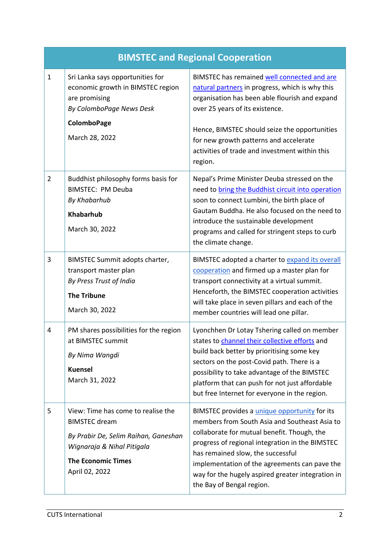| <b>BIMSTEC and Regional Cooperation</b> |                                                                                                                                                                                 |                                                                                                                                                                                                                                                                                                                                                                          |  |
|-----------------------------------------|---------------------------------------------------------------------------------------------------------------------------------------------------------------------------------|--------------------------------------------------------------------------------------------------------------------------------------------------------------------------------------------------------------------------------------------------------------------------------------------------------------------------------------------------------------------------|--|
| $1\,$                                   | Sri Lanka says opportunities for<br>economic growth in BIMSTEC region<br>are promising<br>By ColomboPage News Desk                                                              | BIMSTEC has remained well connected and are<br>natural partners in progress, which is why this<br>organisation has been able flourish and expand<br>over 25 years of its existence.                                                                                                                                                                                      |  |
|                                         | <b>ColomboPage</b><br>March 28, 2022                                                                                                                                            | Hence, BIMSTEC should seize the opportunities<br>for new growth patterns and accelerate<br>activities of trade and investment within this<br>region.                                                                                                                                                                                                                     |  |
| $\overline{2}$                          | Buddhist philosophy forms basis for<br><b>BIMSTEC: PM Deuba</b><br>By Khabarhub<br><b>Khabarhub</b><br>March 30, 2022                                                           | Nepal's Prime Minister Deuba stressed on the<br>need to bring the Buddhist circuit into operation<br>soon to connect Lumbini, the birth place of<br>Gautam Buddha. He also focused on the need to<br>introduce the sustainable development<br>programs and called for stringent steps to curb<br>the climate change.                                                     |  |
| 3                                       | BIMSTEC Summit adopts charter,<br>transport master plan<br>By Press Trust of India<br><b>The Tribune</b><br>March 30, 2022                                                      | BIMSTEC adopted a charter to expand its overall<br>cooperation and firmed up a master plan for<br>transport connectivity at a virtual summit.<br>Henceforth, the BIMSTEC cooperation activities<br>will take place in seven pillars and each of the<br>member countries will lead one pillar.                                                                            |  |
| 4                                       | PM shares possibilities for the region<br>at BIMSTEC summit<br>By Nima Wangdi<br><b>Kuensel</b><br>March 31, 2022                                                               | Lyonchhen Dr Lotay Tshering called on member<br>states to channel their collective efforts and<br>build back better by prioritising some key<br>sectors on the post-Covid path. There is a<br>possibility to take advantage of the BIMSTEC<br>platform that can push for not just affordable<br>but free Internet for everyone in the region.                            |  |
| 5                                       | View: Time has come to realise the<br><b>BIMSTEC</b> dream<br>By Prabir De, Selim Raihan, Ganeshan<br>Wignaraja & Nihal Pitigala<br><b>The Economic Times</b><br>April 02, 2022 | BIMSTEC provides a unique opportunity for its<br>members from South Asia and Southeast Asia to<br>collaborate for mutual benefit. Though, the<br>progress of regional integration in the BIMSTEC<br>has remained slow, the successful<br>implementation of the agreements can pave the<br>way for the hugely aspired greater integration in<br>the Bay of Bengal region. |  |